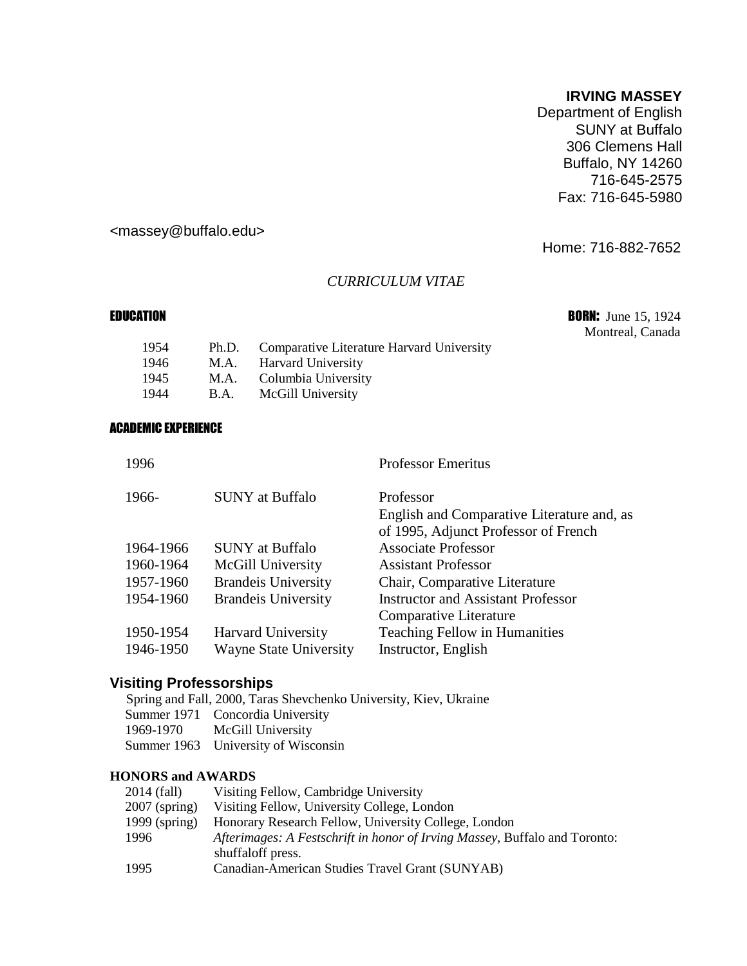#### **IRVING MASSEY**

Department of English SUNY at Buffalo 306 Clemens Hall Buffalo, NY 14260 716-645-2575 Fax: 716-645-5980

## [<massey@buffalo.edu>](mailto:massey@buffalo.edu)

Home: 716-882-7652

#### *CURRICULUM VITAE*

EDUCATION **BORN:** June 15, 1924 Montreal, Canada

| 1954 |      | Ph.D. Comparative Literature Harvard University |
|------|------|-------------------------------------------------|
| 1946 |      | M.A. Harvard University                         |
| 1945 |      | M.A. Columbia University                        |
| 1944 | B.A. | McGill University                               |
|      |      |                                                 |

#### ACADEMIC EXPERIENCE

| 1996      |                               | <b>Professor Emeritus</b>                  |
|-----------|-------------------------------|--------------------------------------------|
| 1966-     | <b>SUNY</b> at Buffalo        | Professor                                  |
|           |                               | English and Comparative Literature and, as |
|           |                               | of 1995, Adjunct Professor of French       |
| 1964-1966 | <b>SUNY</b> at Buffalo        | <b>Associate Professor</b>                 |
| 1960-1964 | McGill University             | <b>Assistant Professor</b>                 |
| 1957-1960 | <b>Brandeis University</b>    | Chair, Comparative Literature              |
| 1954-1960 | <b>Brandeis University</b>    | <b>Instructor and Assistant Professor</b>  |
|           |                               | Comparative Literature                     |
| 1950-1954 | <b>Harvard University</b>     | Teaching Fellow in Humanities              |
| 1946-1950 | <b>Wayne State University</b> | Instructor, English                        |
|           |                               |                                            |

## **Visiting Professorships**

Spring and Fall, 2000, Taras Shevchenko University, Kiev, Ukraine Summer 1971 Concordia University 1969-1970 McGill University Summer 1963 University of Wisconsin

#### **HONORS and AWARDS**

| 2014 (fall)     | Visiting Fellow, Cambridge University                                                           |
|-----------------|-------------------------------------------------------------------------------------------------|
| $2007$ (spring) | Visiting Fellow, University College, London                                                     |
| $1999$ (spring) | Honorary Research Fellow, University College, London                                            |
| 1996            | Afterimages: A Festschrift in honor of Irving Massey, Buffalo and Toronto:<br>shuffaloff press. |
| 1995            | Canadian-American Studies Travel Grant (SUNYAB)                                                 |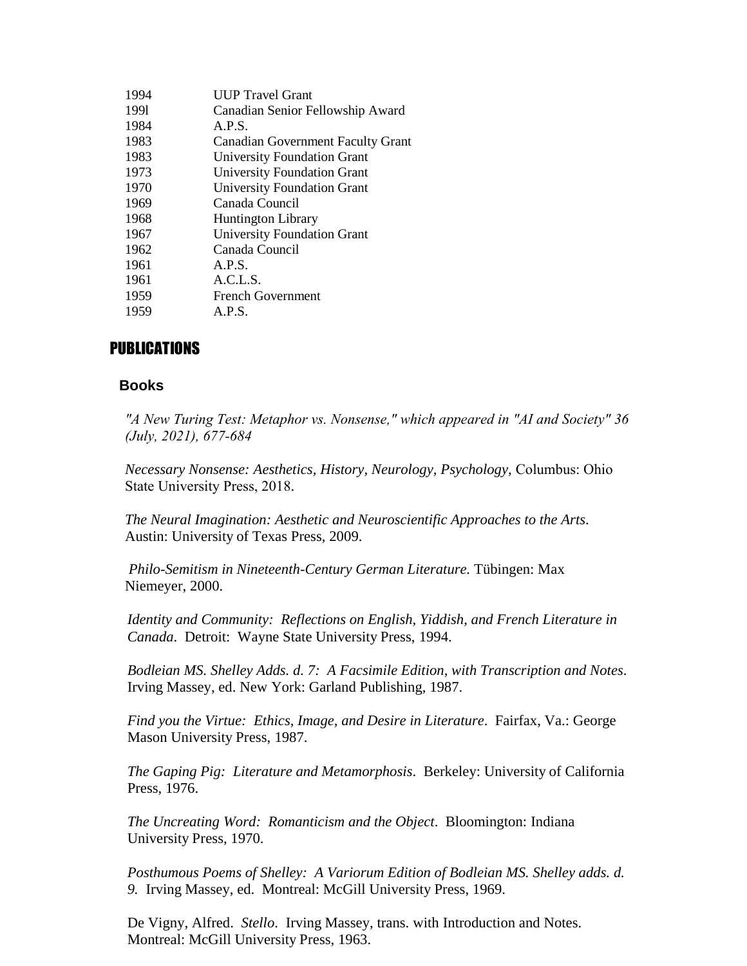| 1994 | <b>UUP Travel Grant</b>                  |
|------|------------------------------------------|
| 1991 | Canadian Senior Fellowship Award         |
| 1984 | A.P.S.                                   |
| 1983 | <b>Canadian Government Faculty Grant</b> |
| 1983 | <b>University Foundation Grant</b>       |
| 1973 | University Foundation Grant              |
| 1970 | <b>University Foundation Grant</b>       |
| 1969 | Canada Council                           |
| 1968 | <b>Huntington Library</b>                |
| 1967 | <b>University Foundation Grant</b>       |
| 1962 | Canada Council                           |
| 1961 | A.P.S.                                   |
| 1961 | A.C.L.S.                                 |
| 1959 | <b>French Government</b>                 |
| 1959 | A.P.S.                                   |
|      |                                          |

# PUBLICATIONS

## **Books**

*"A New Turing Test: Metaphor vs. Nonsense," which appeared in "AI and Society" 36 (July, 2021), 677-684*

*Necessary Nonsense: Aesthetics, History, Neurology, Psychology,* Columbus: Ohio State University Press, 2018.

*The Neural Imagination: Aesthetic and Neuroscientific Approaches to the Arts*. Austin: University of Texas Press, 2009.

*Philo-Semitism in Nineteenth-Century German Literature.* Tübingen: Max Niemeyer, 2000.

*Identity and Community: Reflections on English, Yiddish, and French Literature in Canada*. Detroit: Wayne State University Press, 1994.

*Bodleian MS. Shelley Adds. d. 7: A Facsimile Edition, with Transcription and Notes*. Irving Massey, ed. New York: Garland Publishing, 1987.

*Find you the Virtue: Ethics, Image, and Desire in Literature*. Fairfax, Va.: George Mason University Press, 1987.

*The Gaping Pig: Literature and Metamorphosis*. Berkeley: University of California Press, 1976.

*The Uncreating Word: Romanticism and the Object*. Bloomington: Indiana University Press, 1970.

*Posthumous Poems of Shelley: A Variorum Edition of Bodleian MS. Shelley adds. d. 9.* Irving Massey, ed. Montreal: McGill University Press, 1969.

De Vigny, Alfred. *Stello*. Irving Massey, trans. with Introduction and Notes. Montreal: McGill University Press, 1963.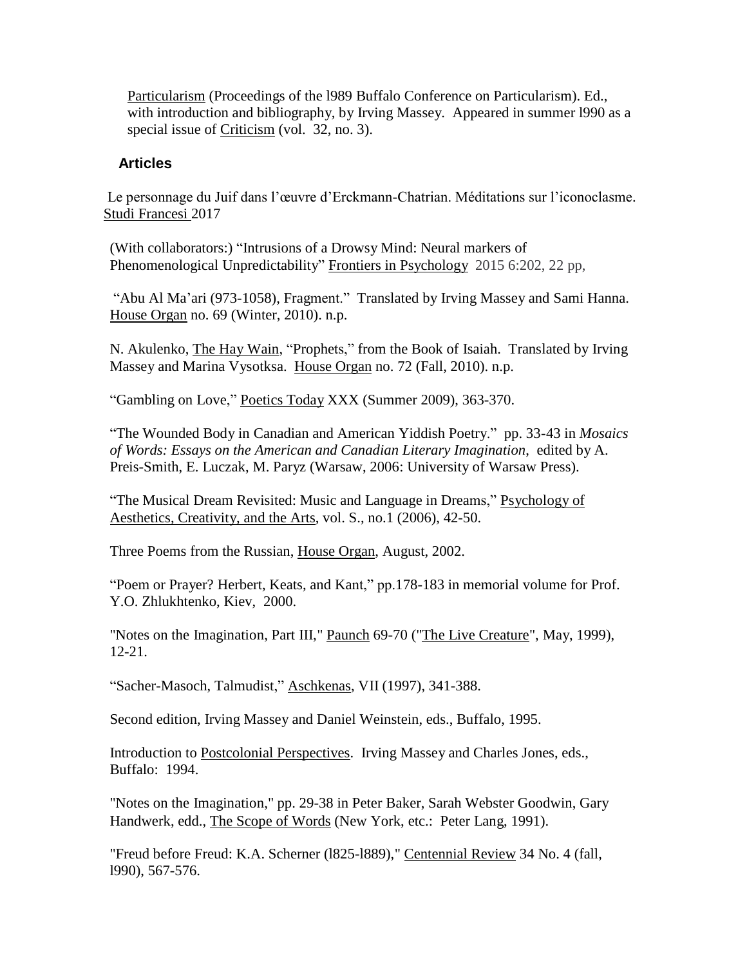Particularism (Proceedings of the l989 Buffalo Conference on Particularism). Ed., with introduction and bibliography, by Irving Massey. Appeared in summer l990 as a special issue of Criticism (vol. 32, no. 3).

## **Articles**

Le personnage du Juif dans l'œuvre d'Erckmann-Chatrian. Méditations sur l'iconoclasme. Studi Francesi 2017

(With collaborators:) "Intrusions of a Drowsy Mind: Neural markers of Phenomenological Unpredictability" Frontiers in Psychology 2015 6:202, 22 pp,

"Abu Al Ma'ari (973-1058), Fragment." Translated by Irving Massey and Sami Hanna. House Organ no. 69 (Winter, 2010). n.p.

N. Akulenko, The Hay Wain, "Prophets," from the Book of Isaiah. Translated by Irving Massey and Marina Vysotksa. House Organ no. 72 (Fall, 2010). n.p.

"Gambling on Love," Poetics Today XXX (Summer 2009), 363-370.

"The Wounded Body in Canadian and American Yiddish Poetry." pp. 33-43 in *Mosaics of Words: Essays on the American and Canadian Literary Imagination*, edited by A. Preis-Smith, E. Luczak, M. Paryz (Warsaw, 2006: University of Warsaw Press).

"The Musical Dream Revisited: Music and Language in Dreams," Psychology of Aesthetics, Creativity, and the Arts, vol. S., no.1 (2006), 42-50.

Three Poems from the Russian, House Organ, August, 2002.

"Poem or Prayer? Herbert, Keats, and Kant," pp.178-183 in memorial volume for Prof. Y.O. Zhlukhtenko, Kiev, 2000.

"Notes on the Imagination, Part III," Paunch 69-70 ("The Live Creature", May, 1999), 12-21.

"Sacher-Masoch, Talmudist," Aschkenas, VII (1997), 341-388.

Second edition, Irving Massey and Daniel Weinstein, eds., Buffalo, 1995.

Introduction to Postcolonial Perspectives. Irving Massey and Charles Jones, eds., Buffalo: 1994.

"Notes on the Imagination," pp. 29-38 in Peter Baker, Sarah Webster Goodwin, Gary Handwerk, edd., The Scope of Words (New York, etc.: Peter Lang, 1991).

"Freud before Freud: K.A. Scherner (l825-l889)," Centennial Review 34 No. 4 (fall, l990), 567-576.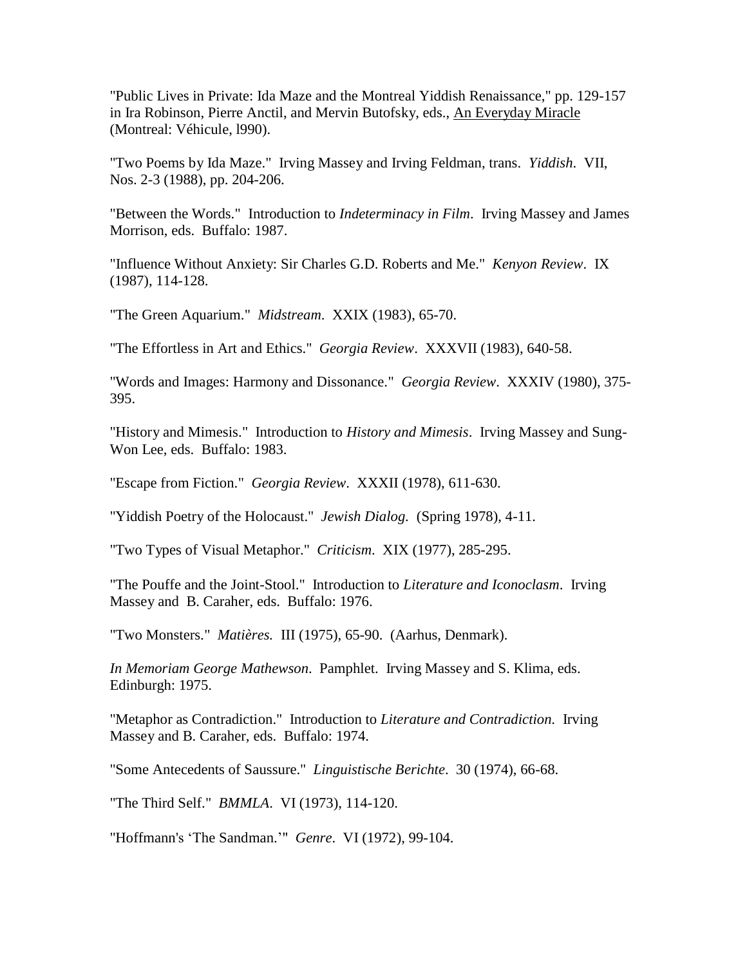"Public Lives in Private: Ida Maze and the Montreal Yiddish Renaissance," pp. 129-157 in Ira Robinson, Pierre Anctil, and Mervin Butofsky, eds., An Everyday Miracle (Montreal: Véhicule, l990).

"Two Poems by Ida Maze." Irving Massey and Irving Feldman, trans. *Yiddish*. VII, Nos. 2-3 (1988), pp. 204-206.

"Between the Words." Introduction to *Indeterminacy in Film*. Irving Massey and James Morrison, eds. Buffalo: 1987.

"Influence Without Anxiety: Sir Charles G.D. Roberts and Me." *Kenyon Review*. IX (1987), 114-128.

"The Green Aquarium." *Midstream*. XXIX (1983), 65-70.

"The Effortless in Art and Ethics." *Georgia Review*. XXXVII (1983), 640-58.

"Words and Images: Harmony and Dissonance." *Georgia Review*. XXXIV (1980), 375- 395.

"History and Mimesis." Introduction to *History and Mimesis*. Irving Massey and Sung-Won Lee, eds. Buffalo: 1983.

"Escape from Fiction." *Georgia Review*. XXXII (1978), 611-630.

"Yiddish Poetry of the Holocaust." *Jewish Dialog.* (Spring 1978), 4-11.

"Two Types of Visual Metaphor." *Criticism*. XIX (1977), 285-295.

"The Pouffe and the Joint-Stool." Introduction to *Literature and Iconoclasm*. Irving Massey and B. Caraher, eds. Buffalo: 1976.

"Two Monsters." *Matières.* III (1975), 65-90. (Aarhus, Denmark).

*In Memoriam George Mathewson*. Pamphlet. Irving Massey and S. Klima, eds. Edinburgh: 1975.

"Metaphor as Contradiction." Introduction to *Literature and Contradiction*. Irving Massey and B. Caraher, eds. Buffalo: 1974.

"Some Antecedents of Saussure." *Linguistische Berichte*. 30 (1974), 66-68.

"The Third Self." *BMMLA*. VI (1973), 114-120.

"Hoffmann's 'The Sandman.'" *Genre*. VI (1972), 99-104.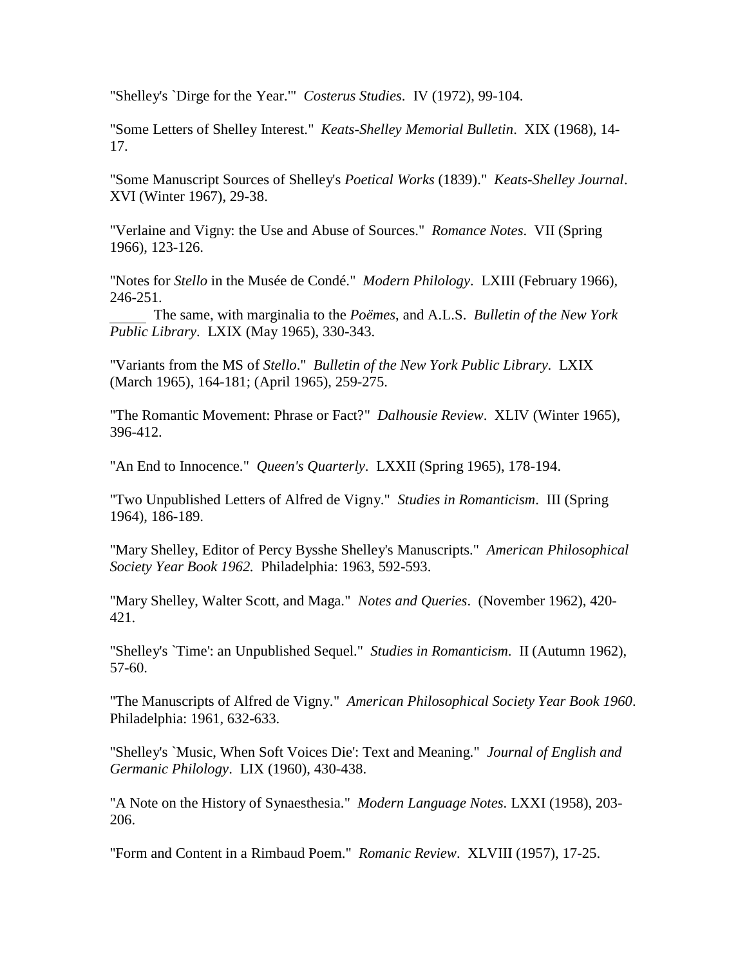"Shelley's `Dirge for the Year.'" *Costerus Studies*. IV (1972), 99-104.

"Some Letters of Shelley Interest." *Keats-Shelley Memorial Bulletin*. XIX (1968), 14- 17.

"Some Manuscript Sources of Shelley's *Poetical Works* (1839)." *Keats-Shelley Journal*. XVI (Winter 1967), 29-38.

"Verlaine and Vigny: the Use and Abuse of Sources." *Romance Notes*. VII (Spring 1966), 123-126.

"Notes for *Stello* in the Musée de Condé." *Modern Philology*. LXIII (February 1966), 246-251.

The same, with marginalia to the *Poëmes*, and A.L.S. *Bulletin of the New York Public Library*. LXIX (May 1965), 330-343.

"Variants from the MS of *Stello*." *Bulletin of the New York Public Library*. LXIX (March 1965), 164-181; (April 1965), 259-275.

"The Romantic Movement: Phrase or Fact?" *Dalhousie Review*. XLIV (Winter 1965), 396-412.

"An End to Innocence." *Queen's Quarterly*. LXXII (Spring 1965), 178-194.

"Two Unpublished Letters of Alfred de Vigny." *Studies in Romanticism*. III (Spring 1964), 186-189.

"Mary Shelley, Editor of Percy Bysshe Shelley's Manuscripts." *American Philosophical Society Year Book 1962.* Philadelphia: 1963, 592-593.

"Mary Shelley, Walter Scott, and Maga." *Notes and Queries*. (November 1962), 420- 421.

"Shelley's `Time': an Unpublished Sequel." *Studies in Romanticism*. II (Autumn 1962), 57-60.

"The Manuscripts of Alfred de Vigny." *American Philosophical Society Year Book 1960*. Philadelphia: 1961, 632-633.

"Shelley's `Music, When Soft Voices Die': Text and Meaning." *Journal of English and Germanic Philology*. LIX (1960), 430-438.

"A Note on the History of Synaesthesia." *Modern Language Notes*. LXXI (1958), 203- 206.

"Form and Content in a Rimbaud Poem." *Romanic Review*. XLVIII (1957), 17-25.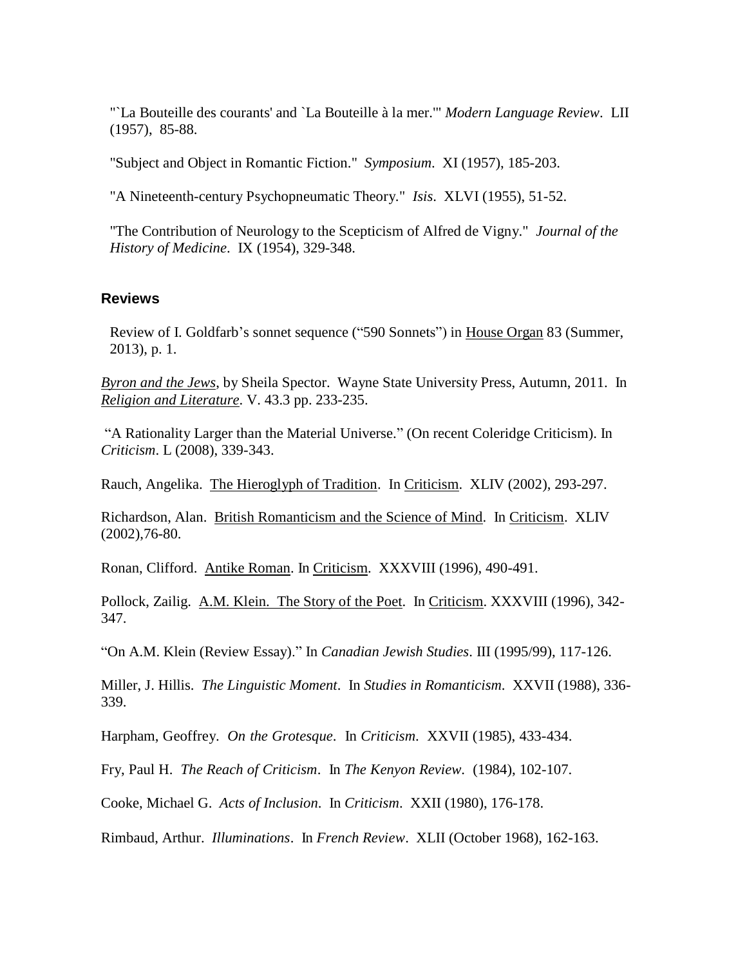"`La Bouteille des courants' and `La Bouteille à la mer.'" *Modern Language Review*. LII (1957), 85-88.

"Subject and Object in Romantic Fiction." *Symposium*. XI (1957), 185-203.

"A Nineteenth-century Psychopneumatic Theory." *Isis*. XLVI (1955), 51-52.

"The Contribution of Neurology to the Scepticism of Alfred de Vigny." *Journal of the History of Medicine*. IX (1954), 329-348.

#### **Reviews**

Review of I. Goldfarb's sonnet sequence ("590 Sonnets") in House Organ 83 (Summer, 2013), p. 1.

*Byron and the Jews*, by Sheila Spector. Wayne State University Press, Autumn, 2011. In *Religion and Literature*. V. 43.3 pp. 233-235.

"A Rationality Larger than the Material Universe." (On recent Coleridge Criticism). In *Criticism*. L (2008), 339-343.

Rauch, Angelika. The Hieroglyph of Tradition. In Criticism. XLIV (2002), 293-297.

Richardson, Alan. British Romanticism and the Science of Mind. In Criticism. XLIV (2002),76-80.

Ronan, Clifford. Antike Roman. In Criticism. XXXVIII (1996), 490-491.

Pollock, Zailig. A.M. Klein. The Story of the Poet. In Criticism. XXXVIII (1996), 342- 347.

"On A.M. Klein (Review Essay)." In *Canadian Jewish Studies*. III (1995/99), 117-126.

Miller, J. Hillis. *The Linguistic Moment*. In *Studies in Romanticism*. XXVII (1988), 336- 339.

Harpham, Geoffrey. *On the Grotesque*. In *Criticism*. XXVII (1985), 433-434.

Fry, Paul H. *The Reach of Criticism*. In *The Kenyon Review*. (1984), 102-107.

Cooke, Michael G. *Acts of Inclusion*. In *Criticism*. XXII (1980), 176-178.

Rimbaud, Arthur. *Illuminations*. In *French Review*. XLII (October 1968), 162-163.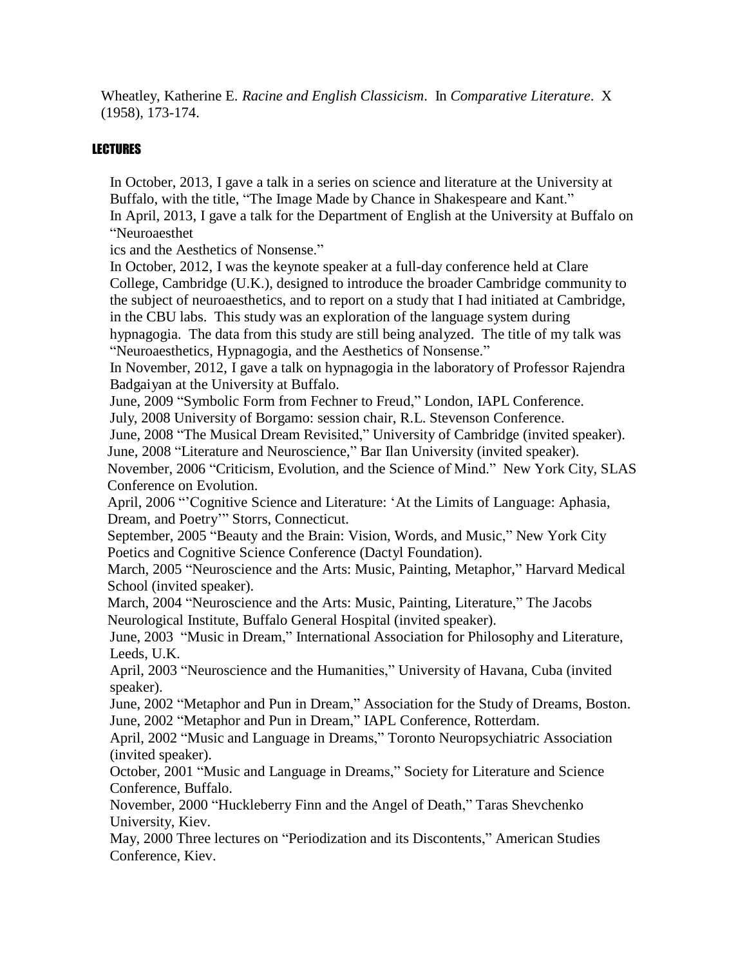Wheatley, Katherine E. *Racine and English Classicism*. In *Comparative Literature*. X (1958), 173-174.

### LECTURES

In October, 2013, I gave a talk in a series on science and literature at the University at Buffalo, with the title, "The Image Made by Chance in Shakespeare and Kant." In April, 2013, I gave a talk for the Department of English at the University at Buffalo on "Neuroaesthet

ics and the Aesthetics of Nonsense."

In October, 2012, I was the keynote speaker at a full-day conference held at Clare College, Cambridge (U.K.), designed to introduce the broader Cambridge community to the subject of neuroaesthetics, and to report on a study that I had initiated at Cambridge, in the CBU labs. This study was an exploration of the language system during

hypnagogia. The data from this study are still being analyzed. The title of my talk was "Neuroaesthetics, Hypnagogia, and the Aesthetics of Nonsense."

In November, 2012, I gave a talk on hypnagogia in the laboratory of Professor Rajendra Badgaiyan at the University at Buffalo.

June, 2009 "Symbolic Form from Fechner to Freud," London, IAPL Conference.

July, 2008 University of Borgamo: session chair, R.L. Stevenson Conference.

June, 2008 "The Musical Dream Revisited," University of Cambridge (invited speaker).

June, 2008 "Literature and Neuroscience," Bar Ilan University (invited speaker).

November, 2006 "Criticism, Evolution, and the Science of Mind." New York City, SLAS Conference on Evolution.

April, 2006 "'Cognitive Science and Literature: 'At the Limits of Language: Aphasia, Dream, and Poetry'" Storrs, Connecticut.

September, 2005 "Beauty and the Brain: Vision, Words, and Music," New York City Poetics and Cognitive Science Conference (Dactyl Foundation).

March, 2005 "Neuroscience and the Arts: Music, Painting, Metaphor," Harvard Medical School (invited speaker).

March, 2004 "Neuroscience and the Arts: Music, Painting, Literature," The Jacobs Neurological Institute, Buffalo General Hospital (invited speaker).

June, 2003 "Music in Dream," International Association for Philosophy and Literature, Leeds, U.K.

April, 2003 "Neuroscience and the Humanities," University of Havana, Cuba (invited speaker).

June, 2002 "Metaphor and Pun in Dream," Association for the Study of Dreams, Boston. June, 2002 "Metaphor and Pun in Dream," IAPL Conference, Rotterdam.

April, 2002 "Music and Language in Dreams," Toronto Neuropsychiatric Association (invited speaker).

October, 2001 "Music and Language in Dreams," Society for Literature and Science Conference, Buffalo.

November, 2000 "Huckleberry Finn and the Angel of Death," Taras Shevchenko University, Kiev.

May, 2000 Three lectures on "Periodization and its Discontents," American Studies Conference, Kiev.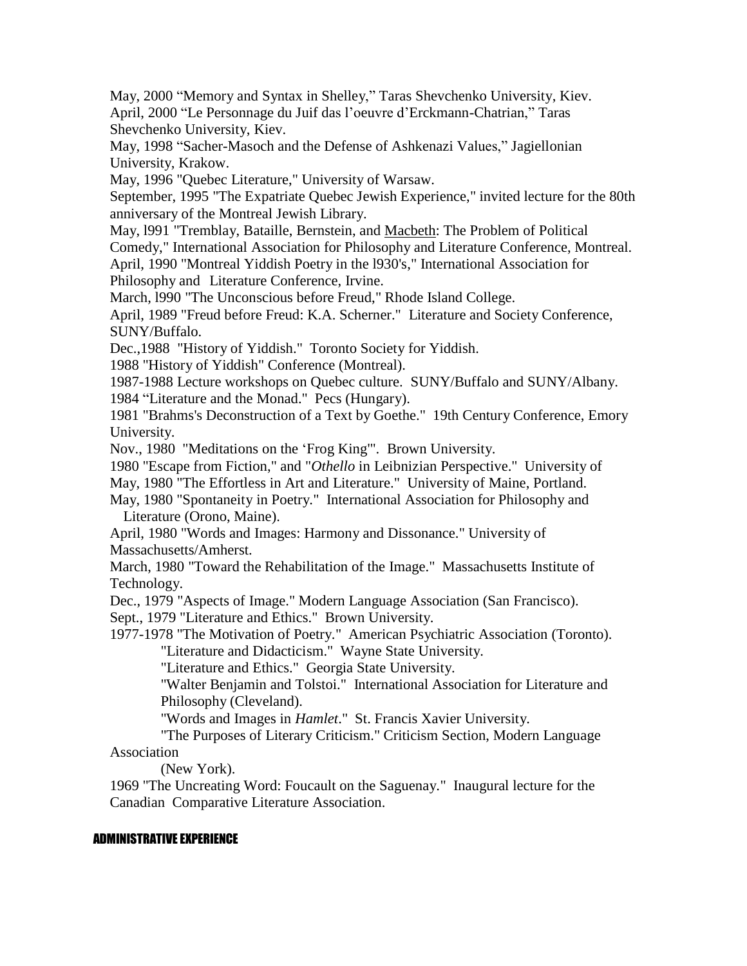May, 2000 "Memory and Syntax in Shelley," Taras Shevchenko University, Kiev. April, 2000 "Le Personnage du Juif das l'oeuvre d'Erckmann-Chatrian," Taras Shevchenko University, Kiev.

May, 1998 "Sacher-Masoch and the Defense of Ashkenazi Values," Jagiellonian University, Krakow.

May, 1996 "Quebec Literature," University of Warsaw.

September, 1995 "The Expatriate Quebec Jewish Experience," invited lecture for the 80th anniversary of the Montreal Jewish Library.

May, l991 "Tremblay, Bataille, Bernstein, and Macbeth: The Problem of Political Comedy," International Association for Philosophy and Literature Conference, Montreal. April, 1990 "Montreal Yiddish Poetry in the l930's," International Association for Philosophy and Literature Conference, Irvine.

March, l990 "The Unconscious before Freud," Rhode Island College.

April, 1989 "Freud before Freud: K.A. Scherner." Literature and Society Conference, SUNY/Buffalo.

Dec.,1988 "History of Yiddish." Toronto Society for Yiddish.

1988 "History of Yiddish" Conference (Montreal).

1987-1988 Lecture workshops on Quebec culture. SUNY/Buffalo and SUNY/Albany.

1984 "Literature and the Monad." Pecs (Hungary).

1981 "Brahms's Deconstruction of a Text by Goethe." 19th Century Conference, Emory University.

Nov., 1980 "Meditations on the 'Frog King'". Brown University.

1980 "Escape from Fiction," and "*Othello* in Leibnizian Perspective." University of

May, 1980 "The Effortless in Art and Literature." University of Maine, Portland.

May, 1980 "Spontaneity in Poetry." International Association for Philosophy and Literature (Orono, Maine).

April, 1980 "Words and Images: Harmony and Dissonance." University of Massachusetts/Amherst.

March, 1980 "Toward the Rehabilitation of the Image." Massachusetts Institute of Technology.

Dec., 1979 "Aspects of Image." Modern Language Association (San Francisco).

Sept., 1979 "Literature and Ethics." Brown University.

1977-1978 "The Motivation of Poetry." American Psychiatric Association (Toronto). "Literature and Didacticism." Wayne State University.

"Literature and Ethics." Georgia State University.

"Walter Benjamin and Tolstoi." International Association for Literature and Philosophy (Cleveland).

"Words and Images in *Hamlet*." St. Francis Xavier University.

"The Purposes of Literary Criticism." Criticism Section, Modern Language Association

(New York).

1969 "The Uncreating Word: Foucault on the Saguenay." Inaugural lecture for the Canadian Comparative Literature Association.

#### ADMINISTRATIVE EXPERIENCE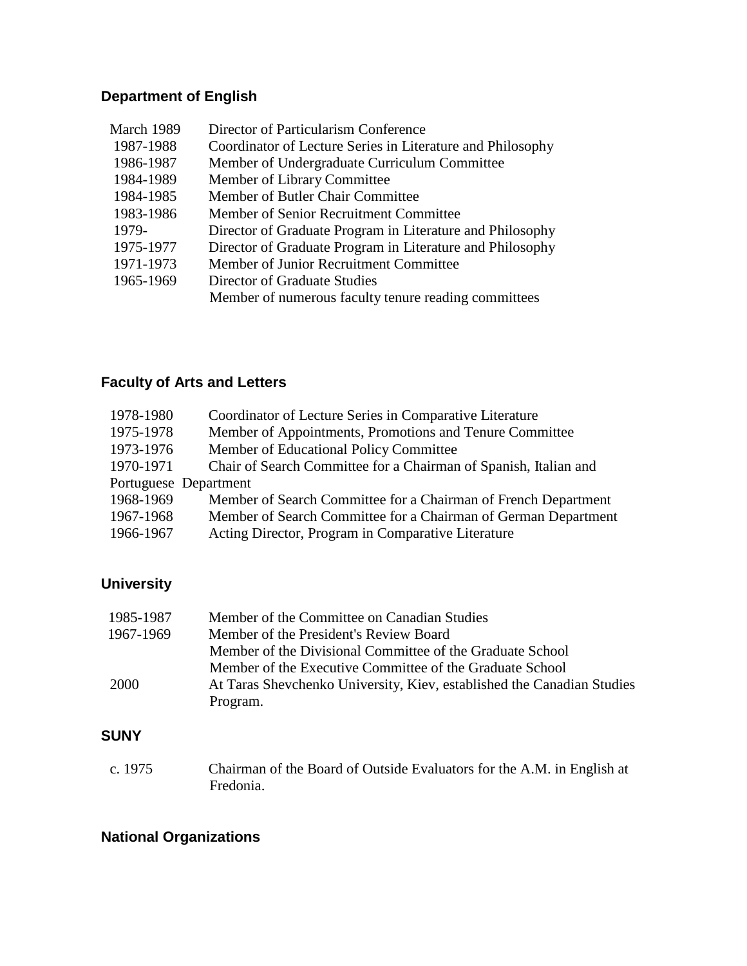# **Department of English**

| March 1989 | Director of Particularism Conference                       |
|------------|------------------------------------------------------------|
| 1987-1988  | Coordinator of Lecture Series in Literature and Philosophy |
| 1986-1987  | Member of Undergraduate Curriculum Committee               |
| 1984-1989  | Member of Library Committee                                |
| 1984-1985  | Member of Butler Chair Committee                           |
| 1983-1986  | Member of Senior Recruitment Committee                     |
| 1979-      | Director of Graduate Program in Literature and Philosophy  |
| 1975-1977  | Director of Graduate Program in Literature and Philosophy  |
| 1971-1973  | Member of Junior Recruitment Committee                     |
| 1965-1969  | Director of Graduate Studies                               |
|            | Member of numerous faculty tenure reading committees       |
|            |                                                            |

# **Faculty of Arts and Letters**

| 1978-1980 | Coordinator of Lecture Series in Comparative Literature          |
|-----------|------------------------------------------------------------------|
| 1975-1978 | Member of Appointments, Promotions and Tenure Committee          |
| 1973-1976 | Member of Educational Policy Committee                           |
| 1970-1971 | Chair of Search Committee for a Chairman of Spanish, Italian and |
|           | Portuguese Department                                            |
| 1968-1969 | Member of Search Committee for a Chairman of French Department   |
| 1967-1968 | Member of Search Committee for a Chairman of German Department   |
| 1966-1967 | Acting Director, Program in Comparative Literature               |

## **University**

| 1985-1987 | Member of the Committee on Canadian Studies                            |
|-----------|------------------------------------------------------------------------|
| 1967-1969 | Member of the President's Review Board                                 |
|           | Member of the Divisional Committee of the Graduate School              |
|           | Member of the Executive Committee of the Graduate School               |
| 2000      | At Taras Shevchenko University, Kiev, established the Canadian Studies |
|           | Program.                                                               |

## **SUNY**

c. 1975 Chairman of the Board of Outside Evaluators for the A.M. in English at Fredonia.

## **National Organizations**